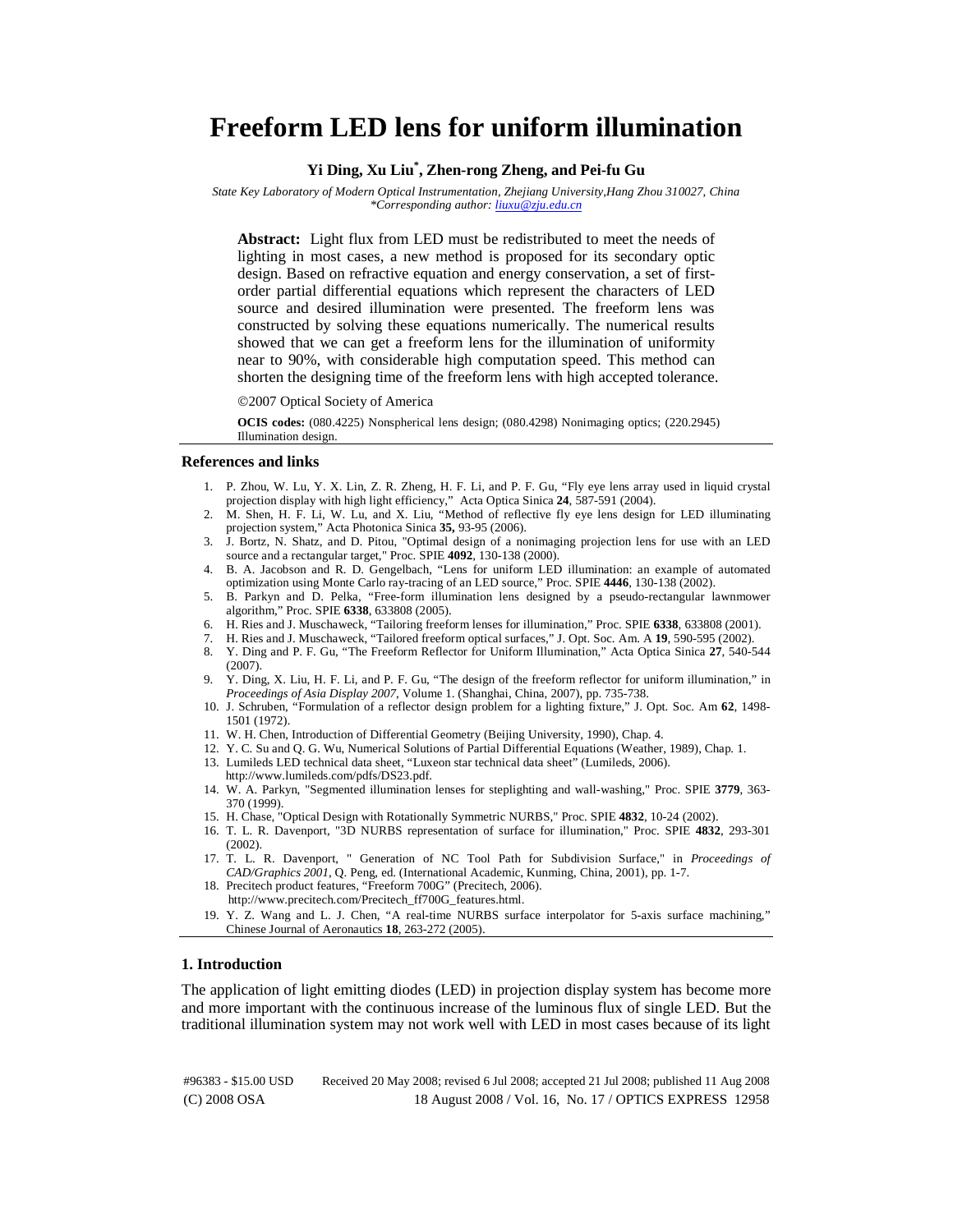# **Freeform LED lens for uniform illumination**

## **Yi Ding, Xu Liu\* , Zhen-rong Zheng, and Pei-fu Gu**

*State Key Laboratory of Modern Optical Instrumentation, Zhejiang University,Hang Zhou 310027, China \*Corresponding author: liuxu@zju.edu.cn*

**Abstract:** Light flux from LED must be redistributed to meet the needs of lighting in most cases, a new method is proposed for its secondary optic design. Based on refractive equation and energy conservation, a set of firstorder partial differential equations which represent the characters of LED source and desired illumination were presented. The freeform lens was constructed by solving these equations numerically. The numerical results showed that we can get a freeform lens for the illumination of uniformity near to 90%, with considerable high computation speed. This method can shorten the designing time of the freeform lens with high accepted tolerance.

©2007 Optical Society of America

**OCIS codes:** (080.4225) Nonspherical lens design; (080.4298) Nonimaging optics; (220.2945) Illumination design.

#### **References and links**

- 1. P. Zhou, W. Lu, Y. X. Lin, Z. R. Zheng, H. F. Li, and P. F. Gu, "Fly eye lens array used in liquid crystal projection display with high light efficiency," Acta Optica Sinica **24**, 587-591 (2004).
- 2. M. Shen, H. F. Li, W. Lu, and X. Liu, "Method of reflective fly eye lens design for LED illuminating projection system," Acta Photonica Sinica **35,** 93-95 (2006).
- 3. J. Bortz, N. Shatz, and D. Pitou, "Optimal design of a nonimaging projection lens for use with an LED source and a rectangular target," Proc. SPIE **4092**, 130-138 (2000).
- 4. B. A. Jacobson and R. D. Gengelbach, "Lens for uniform LED illumination: an example of automated optimization using Monte Carlo ray-tracing of an LED source," Proc. SPIE **4446**, 130-138 (2002).
- 5. B. Parkyn and D. Pelka, "Free-form illumination lens designed by a pseudo-rectangular lawnmower algorithm," Proc. SPIE **6338**, 633808 (2005).
- 6. H. Ries and J. Muschaweck, "Tailoring freeform lenses for illumination," Proc. SPIE **6338**, 633808 (2001).
- 7. H. Ries and J. Muschaweck, "Tailored freeform optical surfaces," J. Opt. Soc. Am. A **19**, 590-595 (2002).
- 8. Y. Ding and P. F. Gu, "The Freeform Reflector for Uniform Illumination," Acta Optica Sinica **27**, 540-544 (2007).
- 9. Y. Ding, X. Liu, H. F. Li, and P. F. Gu, "The design of the freeform reflector for uniform illumination," in *Proceedings of Asia Display 2007*, Volume 1. (Shanghai, China, 2007), pp. 735-738.
- 10. J. Schruben, "Formulation of a reflector design problem for a lighting fixture," J. Opt. Soc. Am **62**, 1498- 1501 (1972).
- 11. W. H. Chen, Introduction of Differential Geometry (Beijing University, 1990), Chap. 4.
- 12. Y. C. Su and Q. G. Wu, Numerical Solutions of Partial Differential Equations (Weather, 1989), Chap. 1.
- 13. Lumileds LED technical data sheet, "Luxeon star technical data sheet" (Lumileds, 2006). http://www.lumileds.com/pdfs/DS23.pdf.
- 14. W. A. Parkyn, "Segmented illumination lenses for steplighting and wall-washing," Proc. SPIE **3779**, 363- 370 (1999).
- 15. H. Chase, "Optical Design with Rotationally Symmetric NURBS," Proc. SPIE **4832**, 10-24 (2002).
- 16. T. L. R. Davenport, "3D NURBS representation of surface for illumination," Proc. SPIE **4832**, 293-301 (2002).
- 17. T. L. R. Davenport, " Generation of NC Tool Path for Subdivision Surface," in *Proceedings of CAD/Graphics 2001*, Q. Peng, ed. (International Academic, Kunming, China, 2001), pp. 1-7.
- 18. Precitech product features, "Freeform 700G" (Precitech, 2006).
	- http://www.precitech.com/Precitech\_ff700G\_features.html.
- 19. Y. Z. Wang and L. J. Chen, "A real-time NURBS surface interpolator for 5-axis surface machining," Chinese Journal of Aeronautics **18**, 263-272 (2005).

## **1. Introduction**

The application of light emitting diodes (LED) in projection display system has become more and more important with the continuous increase of the luminous flux of single LED. But the traditional illumination system may not work well with LED in most cases because of its light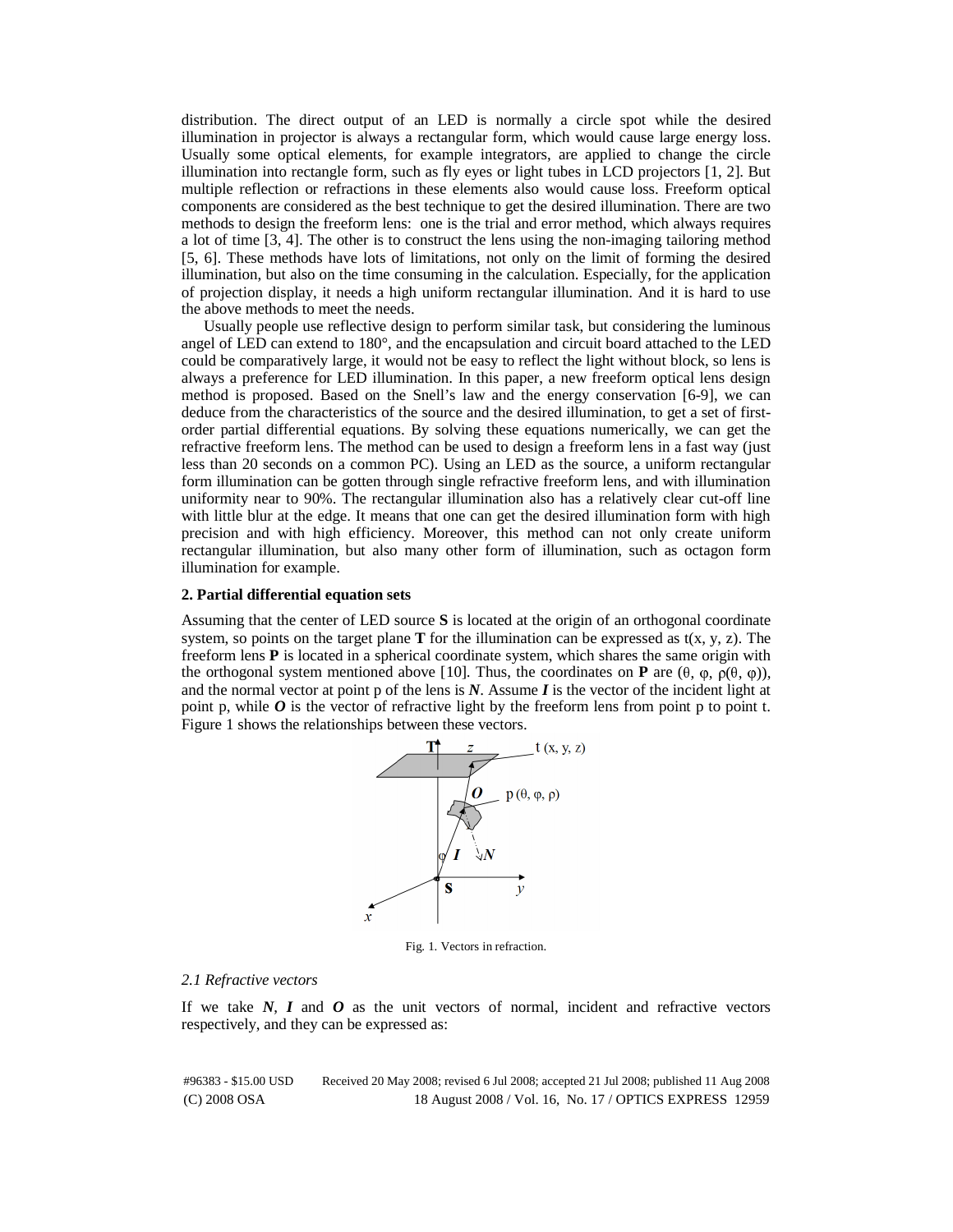distribution. The direct output of an LED is normally a circle spot while the desired illumination in projector is always a rectangular form, which would cause large energy loss. Usually some optical elements, for example integrators, are applied to change the circle illumination into rectangle form, such as fly eyes or light tubes in LCD projectors [1, 2]. But multiple reflection or refractions in these elements also would cause loss. Freeform optical components are considered as the best technique to get the desired illumination. There are two methods to design the freeform lens: one is the trial and error method, which always requires a lot of time [3, 4]. The other is to construct the lens using the non-imaging tailoring method [5, 6]. These methods have lots of limitations, not only on the limit of forming the desired illumination, but also on the time consuming in the calculation. Especially, for the application of projection display, it needs a high uniform rectangular illumination. And it is hard to use the above methods to meet the needs.

Usually people use reflective design to perform similar task, but considering the luminous angel of LED can extend to 180°, and the encapsulation and circuit board attached to the LED could be comparatively large, it would not be easy to reflect the light without block, so lens is always a preference for LED illumination. In this paper, a new freeform optical lens design method is proposed. Based on the Snell's law and the energy conservation [6-9], we can deduce from the characteristics of the source and the desired illumination, to get a set of firstorder partial differential equations. By solving these equations numerically, we can get the refractive freeform lens. The method can be used to design a freeform lens in a fast way (just less than 20 seconds on a common PC). Using an LED as the source, a uniform rectangular form illumination can be gotten through single refractive freeform lens, and with illumination uniformity near to 90%. The rectangular illumination also has a relatively clear cut-off line with little blur at the edge. It means that one can get the desired illumination form with high precision and with high efficiency. Moreover, this method can not only create uniform rectangular illumination, but also many other form of illumination, such as octagon form illumination for example.

#### **2. Partial differential equation sets**

Assuming that the center of LED source **S** is located at the origin of an orthogonal coordinate system, so points on the target plane **T** for the illumination can be expressed as  $t(x, y, z)$ . The freeform lens **P** is located in a spherical coordinate system, which shares the same origin with the orthogonal system mentioned above [10]. Thus, the coordinates on **P** are  $(\theta, \varphi, \rho(\theta, \varphi))$ , and the normal vector at point p of the lens is  $N$ . Assume  $\bm{I}$  is the vector of the incident light at point p, while  $\boldsymbol{O}$  is the vector of refractive light by the freeform lens from point p to point t. Figure 1 shows the relationships between these vectors.



Fig. 1. Vectors in refraction.

#### *2.1 Refractive vectors*

If we take *N*, *I* and *O* as the unit vectors of normal, incident and refractive vectors respectively, and they can be expressed as: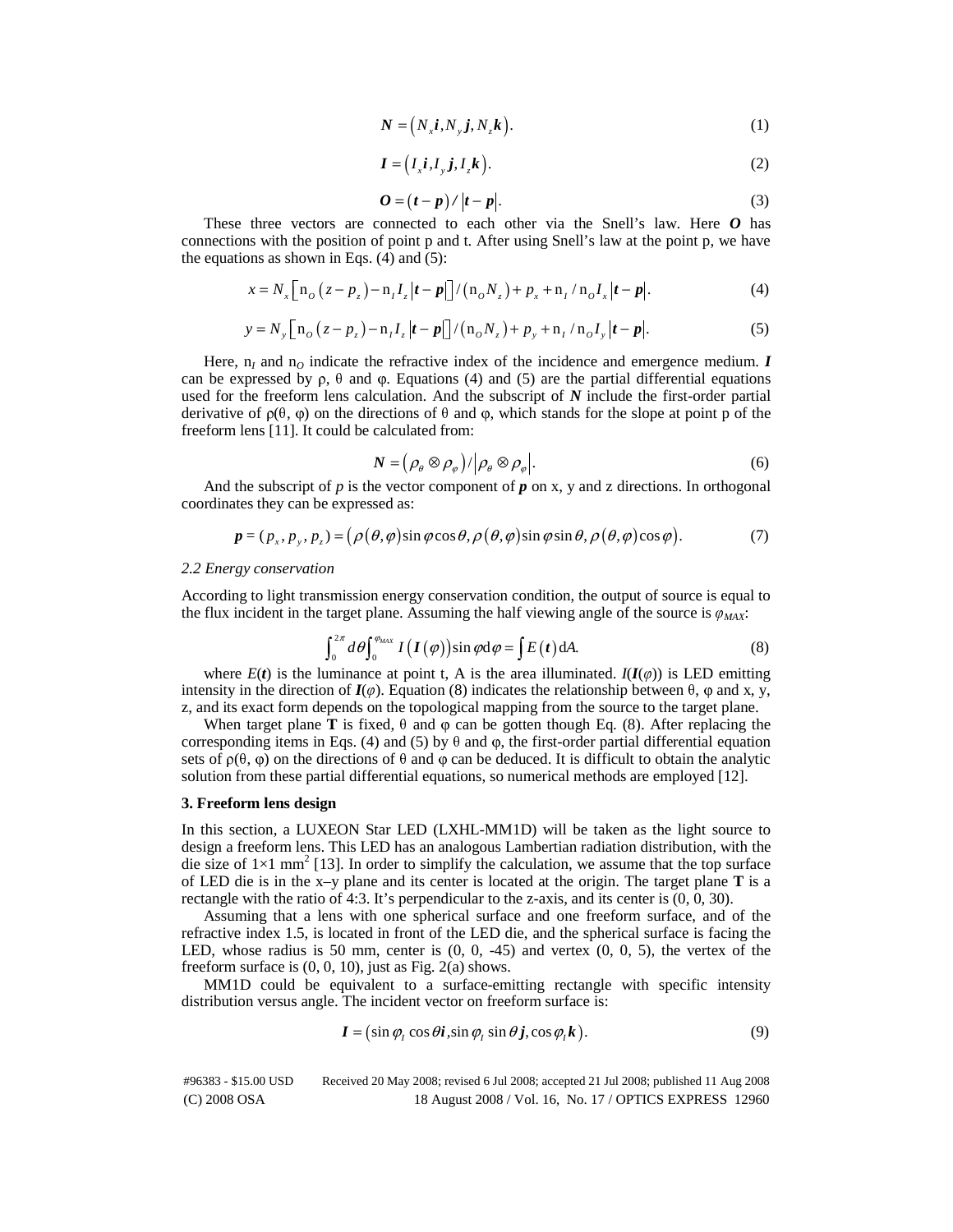$$
N = (N_x i, N_y j, N_z k). \tag{1}
$$

$$
\boldsymbol{I} = (I_x \boldsymbol{i}, I_y \boldsymbol{j}, I_z \boldsymbol{k}). \tag{2}
$$

$$
O = (t - p) / |t - p|.
$$
 (3)

These three vectors are connected to each other via the Snell's law. Here *O* has connections with the position of point p and t. After using Snell's law at the point p, we have the equations as shown in Eqs.  $(4)$  and  $(5)$ :

$$
x = N_x \left[ \left[ \mathbf{n}_o \left( z - p_z \right) - \mathbf{n}_I I_z \left| t - p \right| \right] / \left( \mathbf{n}_o N_z \right) + p_x + \mathbf{n}_I / \mathbf{n}_o I_x \left| t - p \right|.
$$
 (4)

$$
y = N_y \left[ n_o (z - p_z) - n_I I_z |t - p| \right] / (n_o N_z) + p_y + n_I / n_o I_y |t - p|.
$$
 (5)

Here,  $n_l$  and  $n_Q$  indicate the refractive index of the incidence and emergence medium.  $I$ can be expressed by  $\rho$ ,  $\theta$  and  $\phi$ . Equations (4) and (5) are the partial differential equations used for the freeform lens calculation. And the subscript of *N* include the first-order partial derivative of  $\rho(\theta, \varphi)$  on the directions of  $\theta$  and  $\varphi$ , which stands for the slope at point p of the freeform lens [11]. It could be calculated from:

$$
N = (\rho_{\theta} \otimes \rho_{\varphi}) / |\rho_{\theta} \otimes \rho_{\varphi}|. \tag{6}
$$

And the subscript of  $p$  is the vector component of  $p$  on x,  $y$  and  $z$  directions. In orthogonal coordinates they can be expressed as:

$$
\mathbf{p} = (p_x, p_y, p_z) = (\rho(\theta, \varphi)\sin\varphi\cos\theta, \rho(\theta, \varphi)\sin\varphi\sin\theta, \rho(\theta, \varphi)\cos\varphi). \tag{7}
$$

### *2.2 Energy conservation*

According to light transmission energy conservation condition, the output of source is equal to the flux incident in the target plane. Assuming the half viewing angle of the source is  $\varphi_{MAX}$ :

$$
\int_0^{2\pi} d\theta \int_0^{\theta_{MAX}} I(I(\varphi)) \sin \varphi d\varphi = \int E(t) dA.
$$
 (8)  
where  $E(t)$  is the luminance at point t, A is the area illuminated.  $I(I(\varphi))$  is LED emitting

intensity in the direction of  $I(\varphi)$ . Equation (8) indicates the relationship between  $\theta$ ,  $\varphi$  and x, y, z, and its exact form depends on the topological mapping from the source to the target plane.

When target plane **T** is fixed,  $\theta$  and  $\phi$  can be gotten though Eq. (8). After replacing the corresponding items in Eqs. (4) and (5) by  $\theta$  and  $\varphi$ , the first-order partial differential equation sets of  $\rho(\theta, \varphi)$  on the directions of  $\theta$  and  $\varphi$  can be deduced. It is difficult to obtain the analytic solution from these partial differential equations, so numerical methods are employed [12].

#### **3. Freeform lens design**

In this section, a LUXEON Star LED (LXHL-MM1D) will be taken as the light source to design a freeform lens. This LED has an analogous Lambertian radiation distribution, with the die size of  $1\times1$  mm<sup>2</sup> [13]. In order to simplify the calculation, we assume that the top surface of LED die is in the x–y plane and its center is located at the origin. The target plane **T** is a rectangle with the ratio of 4:3. It's perpendicular to the z-axis, and its center is (0, 0, 30).

Assuming that a lens with one spherical surface and one freeform surface, and of the refractive index 1.5, is located in front of the LED die, and the spherical surface is facing the LED, whose radius is 50 mm, center is  $(0, 0, -45)$  and vertex  $(0, 0, 5)$ , the vertex of the freeform surface is (0, 0, 10), just as Fig. 2(a) shows.

MM1D could be equivalent to a surface-emitting rectangle with specific intensity distribution versus angle. The incident vector on freeform surface is:

$$
\boldsymbol{I} = (\sin \varphi_t \cos \theta \boldsymbol{i}, \sin \varphi_t \sin \theta \boldsymbol{j}, \cos \varphi_t \boldsymbol{k}). \tag{9}
$$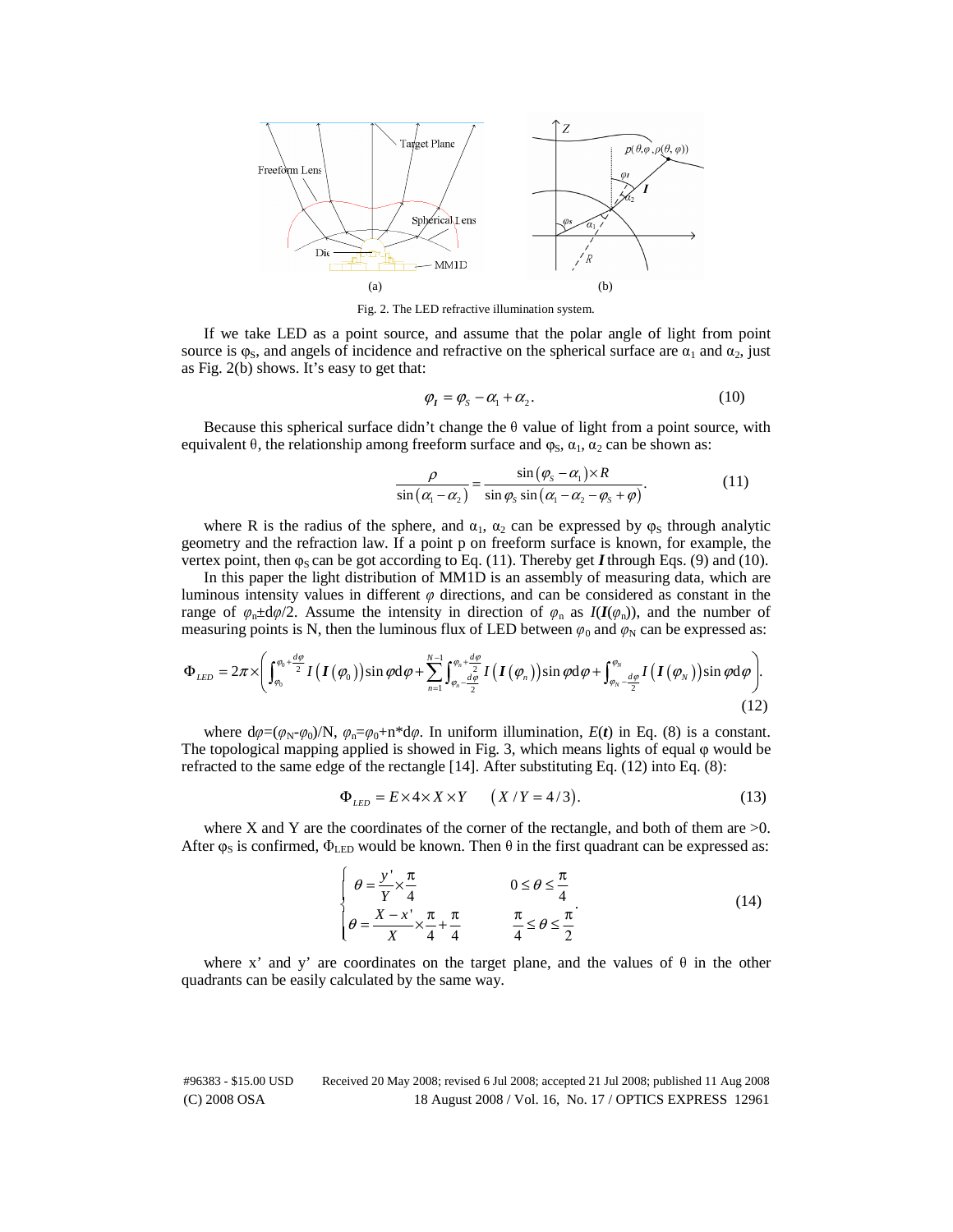

Fig. 2. The LED refractive illumination system.

If we take LED as a point source, and assume that the polar angle of light from point source is  $\varphi$ <sub>S</sub>, and angels of incidence and refractive on the spherical surface are  $\alpha_1$  and  $\alpha_2$ , just as Fig. 2(b) shows. It's easy to get that:

$$
\varphi_I = \varphi_S - \alpha_1 + \alpha_2. \tag{10}
$$

Because this spherical surface didn't change the  $\theta$  value of light from a point source, with equivalent  $\theta$ , the relationship among freeform surface and  $\varphi_S$ ,  $\alpha_1$ ,  $\alpha_2$  can be shown as:

$$
\frac{\rho}{\sin\left(\alpha_{1}-\alpha_{2}\right)}=\frac{\sin\left(\varphi_{s}-\alpha_{1}\right)\times R}{\sin\varphi_{s}\sin\left(\alpha_{1}-\alpha_{2}-\varphi_{s}+\varphi\right)}.\tag{11}
$$

where R is the radius of the sphere, and  $\alpha_1$ ,  $\alpha_2$  can be expressed by  $\varphi_S$  through analytic geometry and the refraction law. If a point p on freeform surface is known, for example, the vertex point, then  $\varphi_S$  can be got according to Eq. (11). Thereby get *I* through Eqs. (9) and (10).

In this paper the light distribution of MM1D is an assembly of measuring data, which are luminous intensity values in different  $\varphi$  directions, and can be considered as constant in the range of  $\varphi_n \pm d\varphi/2$ . Assume the intensity in direction of  $\varphi_n$  as  $I(I(\varphi_n))$ , and the number of measuring points is N, then the luminous flux of LED between  $\varphi_0$  and  $\varphi_N$  can be expressed as:

$$
\Phi_{LED} = 2\pi \times \left( \int_{\varphi_0}^{\varphi_0 + \frac{d\varphi}{2}} I\left( I\left( \varphi_0 \right) \right) \sin \varphi \, d\varphi + \sum_{n=1}^{N-1} \int_{\varphi_n - \frac{d\varphi}{2}}^{\varphi_n + \frac{d\varphi}{2}} I\left( I\left( \varphi_n \right) \right) \sin \varphi \, d\varphi + \int_{\varphi_N - \frac{d\varphi}{2}}^{\varphi_N} I\left( I\left( \varphi_N \right) \right) \sin \varphi \, d\varphi \right). \tag{12}
$$

where  $d\varphi = (\varphi_N - \varphi_0)/N$ ,  $\varphi_n = \varphi_0 + n^*d\varphi$ . In uniform illumination,  $E(t)$  in Eq. (8) is a constant. The topological mapping applied is showed in Fig. 3, which means lights of equal φ would be refracted to the same edge of the rectangle [14]. After substituting Eq. (12) into Eq. (8):

$$
\Phi_{LED} = E \times 4 \times X \times Y \qquad (X/Y = 4/3). \tag{13}
$$

where X and Y are the coordinates of the corner of the rectangle, and both of them are  $>0$ . After  $\varphi_S$  is confirmed,  $\Phi_{LED}$  would be known. Then  $\theta$  in the first quadrant can be expressed as:

$$
\begin{cases}\n\theta = \frac{y'}{Y} \times \frac{\pi}{4} & 0 \le \theta \le \frac{\pi}{4} \\
\theta = \frac{X - x'}{X} \times \frac{\pi}{4} + \frac{\pi}{4} & \frac{\pi}{4} \le \theta \le \frac{\pi}{2}\n\end{cases}
$$
\n(14)

where x' and y' are coordinates on the target plane, and the values of  $\theta$  in the other quadrants can be easily calculated by the same way.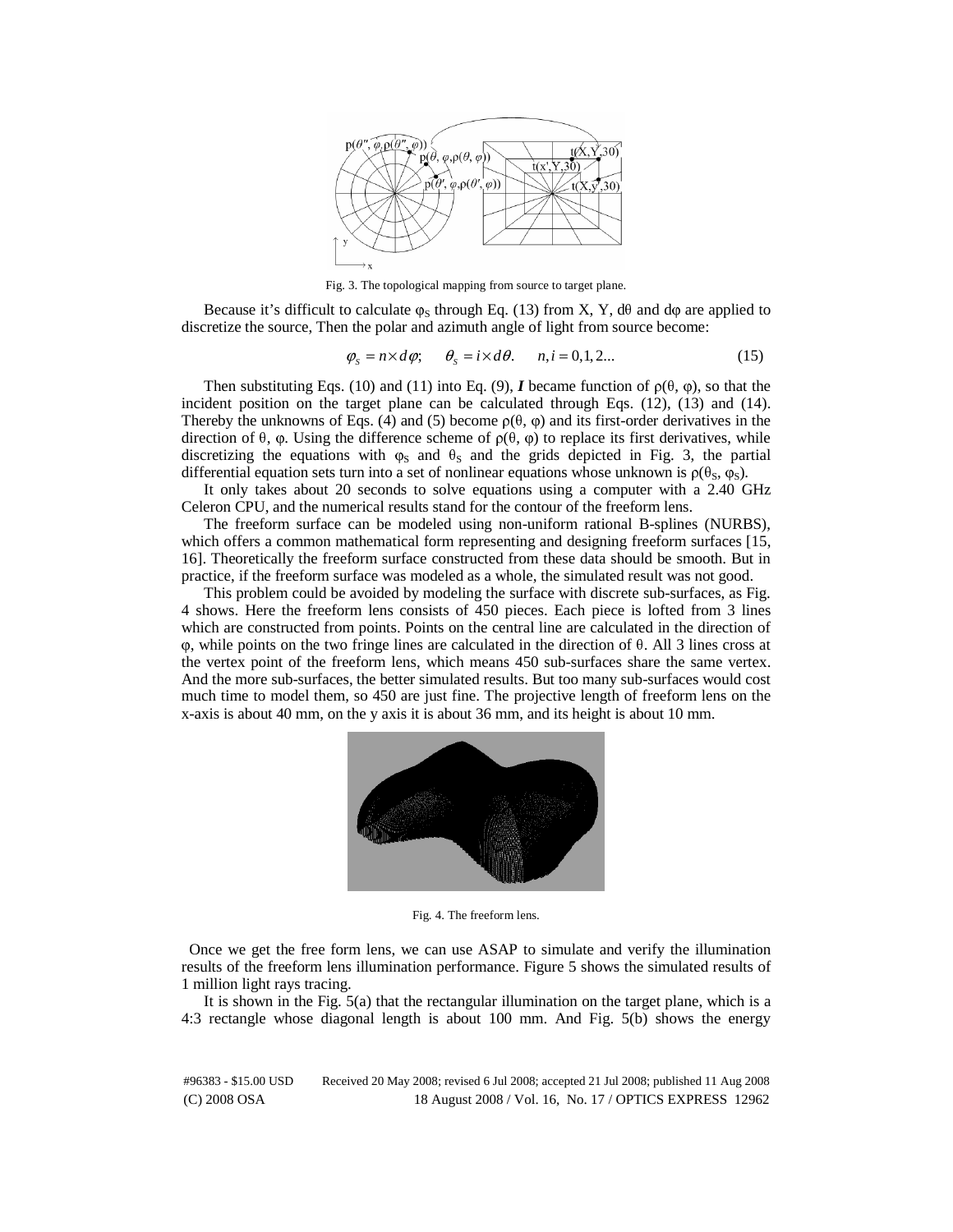

Fig. 3. The topological mapping from source to target plane.

Because it's difficult to calculate  $\varphi_S$  through Eq. (13) from X, Y, d $\theta$  and d $\varphi$  are applied to discretize the source, Then the polar and azimuth angle of light from source become:

$$
\varphi_{s} = n \times d\varphi; \qquad \theta_{s} = i \times d\theta. \qquad n, i = 0, 1, 2... \tag{15}
$$

Then substituting Eqs. (10) and (11) into Eq. (9), *I* became function of  $\rho(\theta, \varphi)$ , so that the incident position on the target plane can be calculated through Eqs. (12), (13) and (14). Thereby the unknowns of Eqs. (4) and (5) become  $\rho(\theta, \varphi)$  and its first-order derivatives in the direction of θ, φ. Using the difference scheme of  $ρ(θ, φ)$  to replace its first derivatives, while discretizing the equations with  $\varphi_S$  and  $\vartheta_S$  and the grids depicted in Fig. 3, the partial differential equation sets turn into a set of nonlinear equations whose unknown is  $\rho(\theta_s, \varphi_s)$ .

It only takes about 20 seconds to solve equations using a computer with a 2.40 GHz Celeron CPU, and the numerical results stand for the contour of the freeform lens.

The freeform surface can be modeled using non-uniform rational B-splines (NURBS), which offers a common mathematical form representing and designing freeform surfaces [15, 16]. Theoretically the freeform surface constructed from these data should be smooth. But in practice, if the freeform surface was modeled as a whole, the simulated result was not good.

This problem could be avoided by modeling the surface with discrete sub-surfaces, as Fig. 4 shows. Here the freeform lens consists of 450 pieces. Each piece is lofted from 3 lines which are constructed from points. Points on the central line are calculated in the direction of <sup>φ</sup>, while points on the two fringe lines are calculated in the direction of θ. All 3 lines cross at the vertex point of the freeform lens, which means 450 sub-surfaces share the same vertex. And the more sub-surfaces, the better simulated results. But too many sub-surfaces would cost much time to model them, so 450 are just fine. The projective length of freeform lens on the x-axis is about 40 mm, on the y axis it is about 36 mm, and its height is about 10 mm.



Fig. 4. The freeform lens.

Once we get the free form lens, we can use ASAP to simulate and verify the illumination results of the freeform lens illumination performance. Figure 5 shows the simulated results of 1 million light rays tracing.

It is shown in the Fig. 5(a) that the rectangular illumination on the target plane, which is a 4:3 rectangle whose diagonal length is about 100 mm. And Fig. 5(b) shows the energy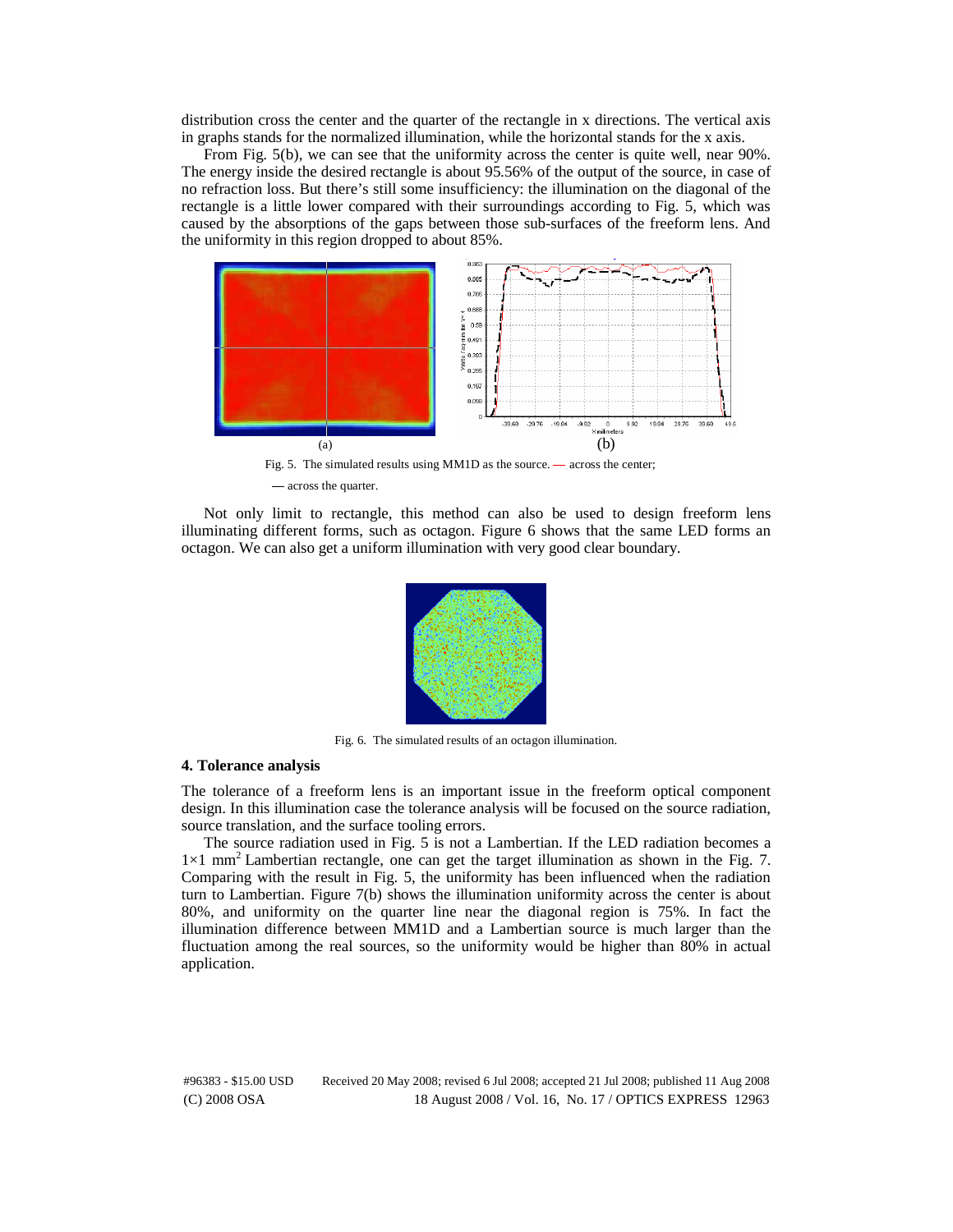distribution cross the center and the quarter of the rectangle in x directions. The vertical axis in graphs stands for the normalized illumination, while the horizontal stands for the x axis.

From Fig. 5(b), we can see that the uniformity across the center is quite well, near 90%. The energy inside the desired rectangle is about 95.56% of the output of the source, in case of no refraction loss. But there's still some insufficiency: the illumination on the diagonal of the rectangle is a little lower compared with their surroundings according to Fig. 5, which was caused by the absorptions of the gaps between those sub-surfaces of the freeform lens. And the uniformity in this region dropped to about 85%.



 Fig. 5. The simulated results using MM1D as the source. — across the center; — across the quarter.

Not only limit to rectangle, this method can also be used to design freeform lens illuminating different forms, such as octagon. Figure 6 shows that the same LED forms an octagon. We can also get a uniform illumination with very good clear boundary.



Fig. 6. The simulated results of an octagon illumination.

#### **4. Tolerance analysis**

The tolerance of a freeform lens is an important issue in the freeform optical component design. In this illumination case the tolerance analysis will be focused on the source radiation, source translation, and the surface tooling errors.

The source radiation used in Fig. 5 is not a Lambertian. If the LED radiation becomes a  $1\times1$  mm<sup>2</sup> Lambertian rectangle, one can get the target illumination as shown in the Fig. 7. Comparing with the result in Fig. 5, the uniformity has been influenced when the radiation turn to Lambertian. Figure 7(b) shows the illumination uniformity across the center is about 80%, and uniformity on the quarter line near the diagonal region is 75%. In fact the illumination difference between MM1D and a Lambertian source is much larger than the fluctuation among the real sources, so the uniformity would be higher than 80% in actual application.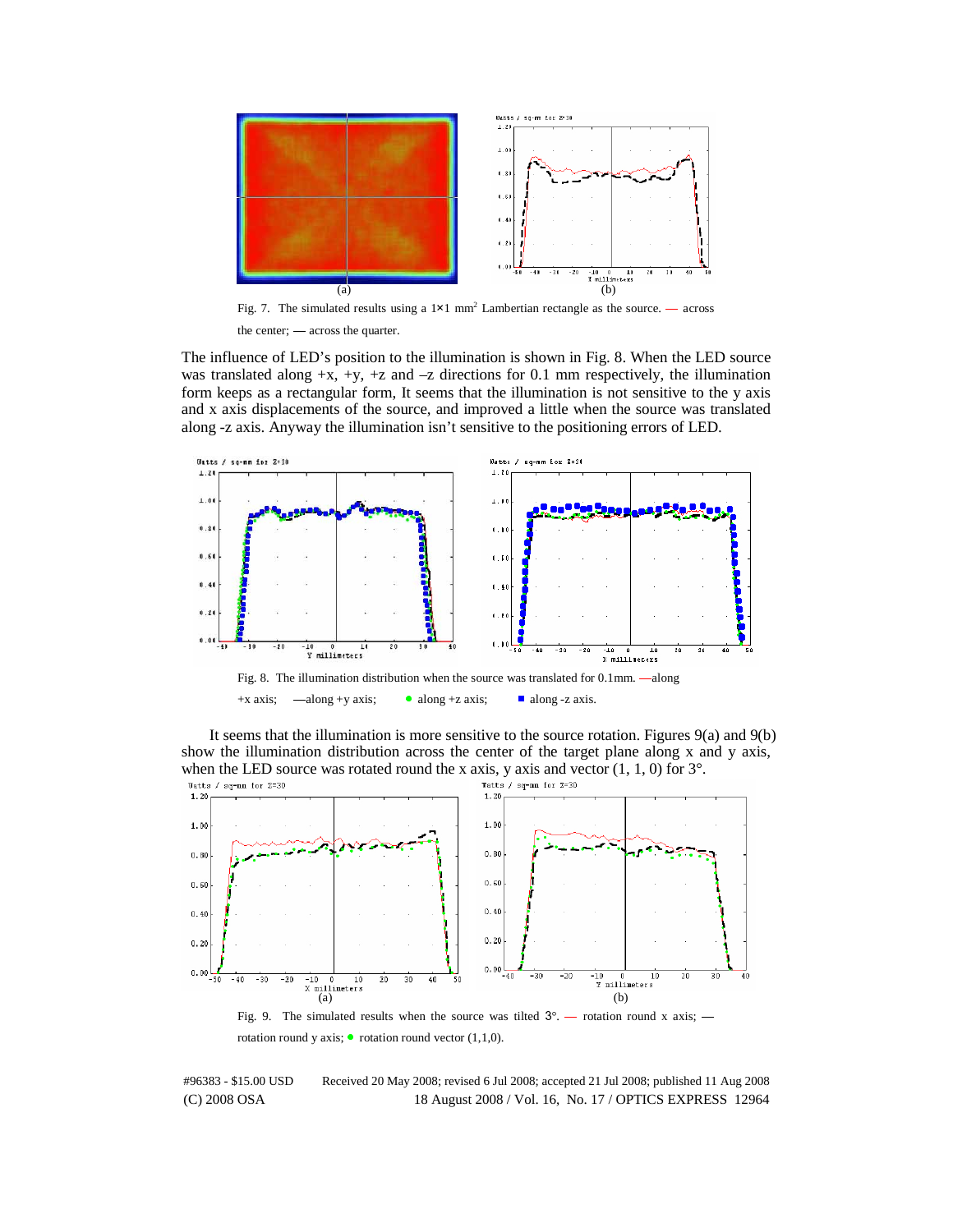

Fig. 7. The simulated results using a  $1 \times 1$  mm<sup>2</sup> Lambertian rectangle as the source. — across

the center; — across the quarter.

The influence of LED's position to the illumination is shown in Fig. 8. When the LED source was translated along  $+x$ ,  $+y$ ,  $+z$  and  $-z$  directions for 0.1 mm respectively, the illumination form keeps as a rectangular form, It seems that the illumination is not sensitive to the y axis and x axis displacements of the source, and improved a little when the source was translated along -z axis. Anyway the illumination isn't sensitive to the positioning errors of LED.



It seems that the illumination is more sensitive to the source rotation. Figures 9(a) and 9(b) show the illumination distribution across the center of the target plane along x and y axis, when the LED source was rotated round the x axis, y axis and vector  $(1, 1, 0)$  for  $3^{\circ}$ .<br> **Tacts** / sq-nn for  $z=30$ 



Fig. 9. The simulated results when the source was tilted  $3^\circ$ . — rotation round x axis; rotation round y axis;  $\bullet$  rotation round vector (1,1,0).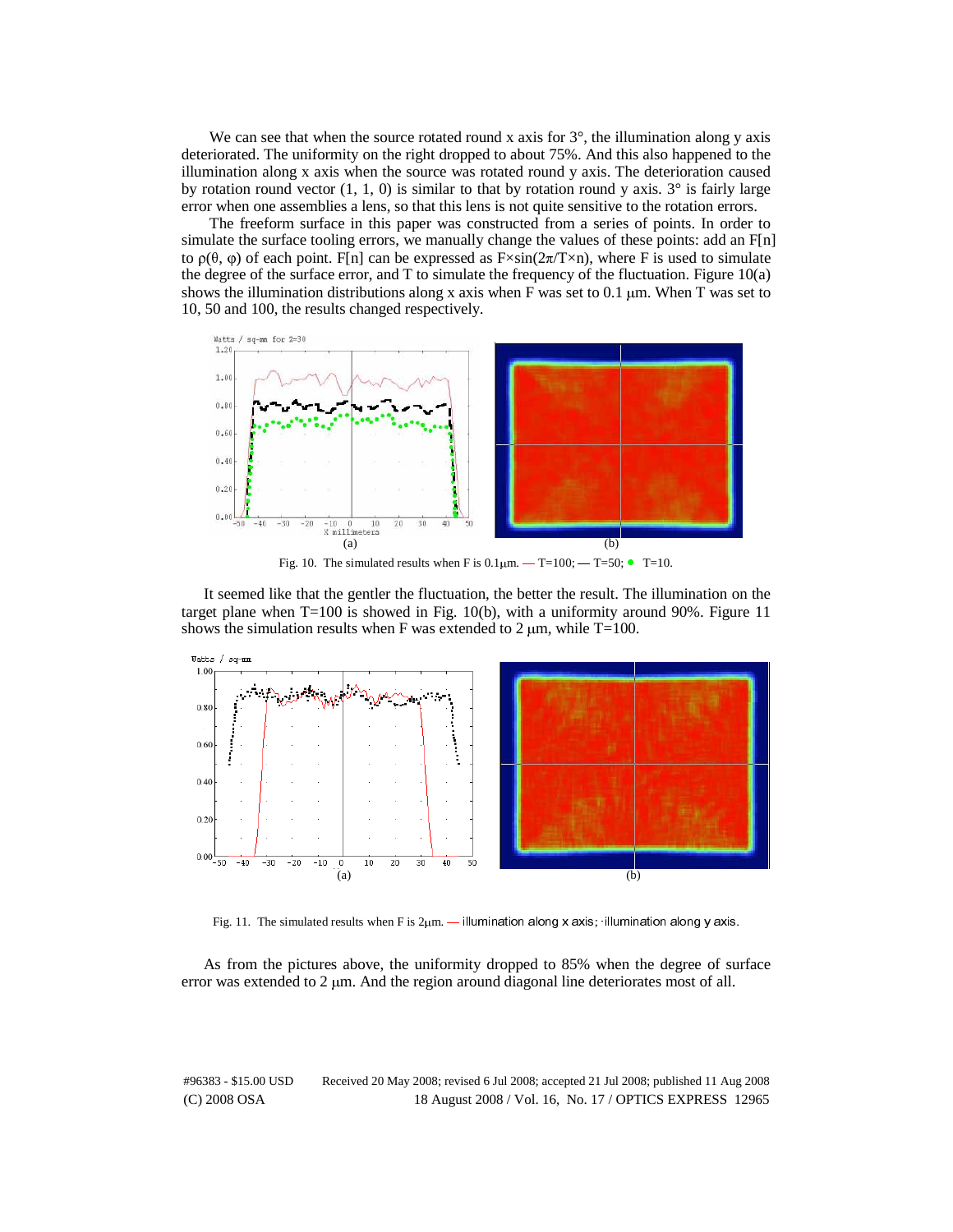We can see that when the source rotated round x axis for  $3^\circ$ , the illumination along y axis deteriorated. The uniformity on the right dropped to about 75%. And this also happened to the illumination along x axis when the source was rotated round y axis. The deterioration caused by rotation round vector  $(1, 1, 0)$  is similar to that by rotation round y axis.  $3^\circ$  is fairly large error when one assemblies a lens, so that this lens is not quite sensitive to the rotation errors.

The freeform surface in this paper was constructed from a series of points. In order to simulate the surface tooling errors, we manually change the values of these points: add an F[n] to  $\rho(\theta, \varphi)$  of each point. F[n] can be expressed as F $\times$ sin(2 $\pi$ /T $\times$ n), where F is used to simulate the degree of the surface error, and T to simulate the frequency of the fluctuation. Figure  $10(a)$ shows the illumination distributions along x axis when F was set to 0.1  $\mu$ m. When T was set to 10, 50 and 100, the results changed respectively.



Fig. 10. The simulated results when F is  $0.1\mu$ m.  $-T=100$ ;  $-T=50$ ;  $\bullet$  T=10.

It seemed like that the gentler the fluctuation, the better the result. The illumination on the target plane when  $T=100$  is showed in Fig. 10(b), with a uniformity around 90%. Figure 11 shows the simulation results when F was extended to 2  $\mu$ m, while T=100.



Fig. 11. The simulated results when F is 2μm. — illumination along x axis; ·illumination along y axis.

As from the pictures above, the uniformity dropped to 85% when the degree of surface error was extended to  $2 \mu m$ . And the region around diagonal line deteriorates most of all.